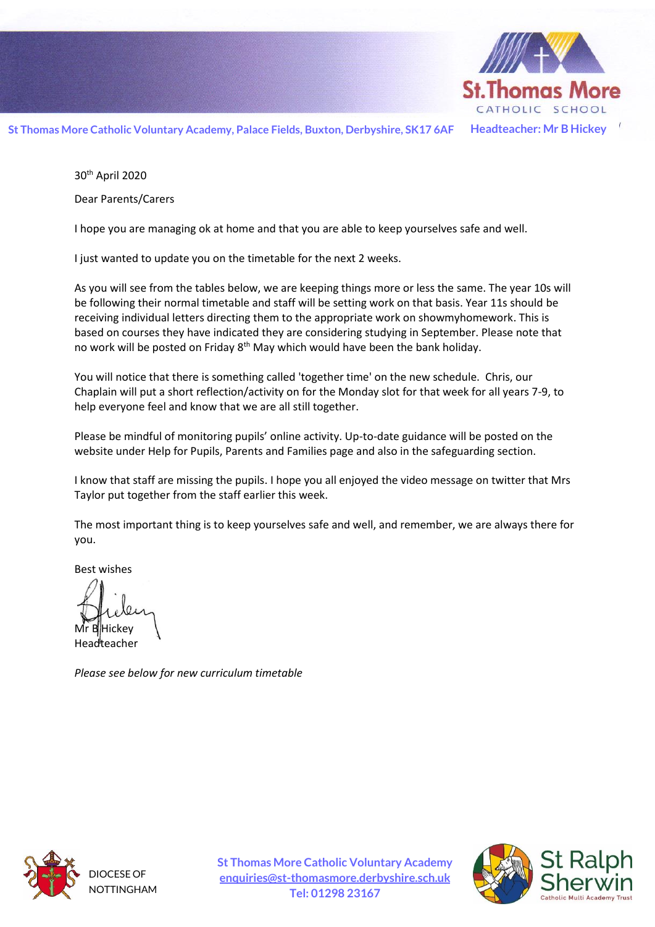

**St Thomas More Catholic Voluntary Academy, Palace Fields, Buxton, Derbyshire, SK17 6AF Headteacher: Mr B Hickey**

30th April 2020

Dear Parents/Carers

I hope you are managing ok at home and that you are able to keep yourselves safe and well.

I just wanted to update you on the timetable for the next 2 weeks.

As you will see from the tables below, we are keeping things more or less the same. The year 10s will be following their normal timetable and staff will be setting work on that basis. Year 11s should be receiving individual letters directing them to the appropriate work on showmyhomework. This is based on courses they have indicated they are considering studying in September. Please note that no work will be posted on Friday 8<sup>th</sup> May which would have been the bank holiday.

You will notice that there is something called 'together time' on the new schedule. Chris, our Chaplain will put a short reflection/activity on for the Monday slot for that week for all years 7-9, to help everyone feel and know that we are all still together.

Please be mindful of monitoring pupils' online activity. Up-to-date guidance will be posted on the website under Help for Pupils, Parents and Families page and also in the safeguarding section.

I know that staff are missing the pupils. I hope you all enjoyed the video message on twitter that Mrs Taylor put together from the staff earlier this week.

The most important thing is to keep yourselves safe and well, and remember, we are always there for you.

Best wishes

lHickev **Headteacher** 

*Please see below for new curriculum timetable*



DIOCESE OF NOTTINGHAM **St Thomas More Catholic Voluntary Academy [enquiries@st-thomasmore.derbyshire.sch.uk](mailto:enquiries@st-thomasmore.derbyshire.sch.uk) Tel: 01298 23167**